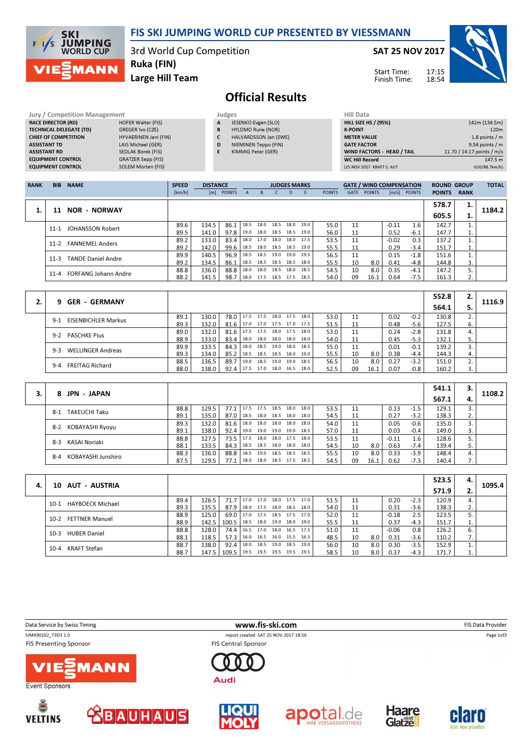

# Official Results

 $G10/88.7km/h)$ 

| Jury / Competition Management  |                       |   | Judges                | Hill Data                         |                            |
|--------------------------------|-----------------------|---|-----------------------|-----------------------------------|----------------------------|
| <b>RACE DIRECTOR (RD)</b>      | HOFER Walter (FIS)    | A | JESENKO Evgen (SLO)   | <b>HILL SIZE HS / (95%)</b>       | 142m (134.5m)              |
| <b>TECHNICAL DELEGATE (TD)</b> | GREGER Ivo (CZE)      | B | HYLDMO Rune (NOR)     | <b>K-POINT</b>                    | 120m                       |
| <b>CHIEF OF COMPETITION</b>    | HYVAERINEN Jani (FIN) |   | HALVARDSSON Jan (SWE) | <b>METER VALUE</b>                | 1.8 points / m             |
| <b>ASSISTANT TD</b>            | LAIS Michael (GER)    | D | NIEMINEN Teppo (FIN)  | <b>GATE FACTOR</b>                | 9.54 points $/m$           |
| <b>ASSISTANT RD</b>            | SEDLAK Borek (FIS)    |   | KIMMIG Peter (GER)    | <b>WIND FACTORS - HEAD / TAIL</b> | 11.70 / 14.17 points / m/s |
| <b>EQUIPMENT CONTROL</b>       | GRATZER Sepp (FIS)    |   |                       | <b>WC Hill Record</b>             | 147.5 m                    |
| <b>EQUIPMENT CONTROL</b>       | SOLEM Morten (FIS)    |   |                       | (25 NOV 2017 KRAFT S. AUT         | G10/88.7km/h)              |

| <b>RANK</b> | <b>BIB</b> | <b>NAME</b>                 | <b>SPEED</b> | <b>DISTANCE</b> |            |      |                          | <b>JUDGES MARKS</b> |      |      |               |             | <b>GATE / WIND COMPENSATION</b> |         |                | <b>ROUND GROUP</b> |             | <b>TOTAL</b> |
|-------------|------------|-----------------------------|--------------|-----------------|------------|------|--------------------------|---------------------|------|------|---------------|-------------|---------------------------------|---------|----------------|--------------------|-------------|--------------|
|             |            |                             | [km/h]       |                 | [m] POINTS | A    | B.                       |                     | D.   |      | <b>POINTS</b> | <b>GATE</b> | <b>POINTS</b>                   |         | $[m/s]$ POINTS | <b>POINTS</b>      | <b>RANK</b> |              |
|             |            |                             |              |                 |            |      |                          |                     |      |      |               |             |                                 |         |                | 578.7              | ı.          |              |
|             | 11         | <b>NOR - NORWAY</b>         |              |                 |            |      |                          |                     |      |      |               |             |                                 |         |                | 605.5              | ı.          | 1184.2       |
|             |            | 11-1 JOHANSSON Robert       | 89.6         | 134.5           | 86.1       | 18.5 | 18.0                     | 18.5                | 18.0 | 19.0 | 55.0          | 11          |                                 | $-0.11$ | 1.6            | 142.7              |             |              |
|             |            |                             | 89.5         | 141.0           | 97.8       |      | 19.0 18.0 18.5 18.5      |                     |      | 19.0 | 56.0          | 11          |                                 | 0.52    | $-6.1$         | 147.7              | ⊥.          |              |
|             | $11-2$     | <b>FANNEMEL Anders</b>      | 89.2         | 133.0           | 83.4       |      | 18.0 17.0 18.0 18.0 17.5 |                     |      |      | 53.5          | 11          |                                 | $-0.02$ | 0.3            | 137.2              |             |              |
|             |            |                             | 89.2         | 142.0           | 99.6       | 18.5 | 18.0 18.5 18.5           |                     |      | 19.0 | 55.5          | 11          |                                 | 0.29    | $-3.4$         | 151.7              | <b>.</b>    |              |
|             | $11 - 3$   | <b>TANDE Daniel Andre</b>   | 89.9         | 140.5           | 96.9       | 18.5 | 18.5                     | 19.0                | 19.0 | 19.5 | 56.5          | 11          |                                 | 0.15    | $-1.8$         | 151.6              |             |              |
|             |            |                             | 89.2         | 134.5           | 86.1       | 18.5 | 18.5                     | 18.5                | 18.5 | 18.0 | 55.5          | 10          | 8.0                             | 0.41    | -4.8           | 144.8              |             |              |
|             | $11 - 4$   | <b>FORFANG Johann Andre</b> | 88.8         | 136.0           | 88.8       | 18.0 | 18.0                     | 18.5                | 18.0 | 18.5 | 54.5          | 10          | 8.0                             | 0.35    | $-4.1$         | 147.2              |             |              |
|             |            |                             | 88.2         | 141.5           | 98.7       |      | 18.0 17.5 18.5 17.5      |                     |      | 18.5 | 54.0          | 09          | 16.1                            | 0.64    | $-7.5$         | 161.3              | ۷.          |              |

|                                   |      |       |               |                          |      |      |                |      |      |    |      |      |        | 552.8 | z. |        |
|-----------------------------------|------|-------|---------------|--------------------------|------|------|----------------|------|------|----|------|------|--------|-------|----|--------|
| <b>GER - GERMANY</b><br>9.        |      |       |               |                          |      |      |                |      |      |    |      |      |        | 564.1 |    | 1116.9 |
| EISENBICHLER Markus<br>$9-1$      | 89.1 | 130.0 |               | 78.0 17.5 17.5           |      |      | 18.0 17.5      | 18.0 | 53.0 | 11 |      | 0.02 | $-0.2$ | 130.8 |    |        |
|                                   | 89.3 | 132.0 | $81.6$ 17.0   |                          |      |      | 17.0 17.5 17.0 | 17.5 | 51.5 | 11 |      | 0.48 | $-5.6$ | 127.5 | 6. |        |
| PASCHKE Pius<br>$9-2$             | 89.0 | 132.0 | $81.6$   17.5 |                          | 17.5 |      | 18.0 17.5      | 18.0 | 53.0 | 11 |      | 0.24 | $-2.8$ | 131.8 | 4. |        |
|                                   | 88.9 | 133.0 | $83.4$   18.0 |                          |      |      | 18.0 18.0 18.0 | 18.0 | 54.0 | 11 |      | 0.45 | $-5.3$ | 132.1 | 5. |        |
| <b>WELLINGER Andreas</b><br>$9-3$ | 89.9 | 133.5 | $84.3$   18.0 |                          | 18.5 |      | 19.0 18.0      | 18.5 | 55.0 | 11 |      | 0.01 | $-0.1$ | 139.2 |    |        |
|                                   | 89.3 | 134.0 |               | 85.2 18.5 18.5 18.5 18.0 |      |      |                | 19.0 | 55.5 | 10 | 8.0  | 0.38 | $-4.4$ | 144.3 | 4. |        |
| $9 - 4$                           | 88.5 | 136.5 | $89.7$   19.0 |                          | 18.5 | 19.0 | 19.0           | 18.5 | 56.5 | 10 | 8.0  | 0.27 | $-3.2$ | 151.0 |    |        |
| <b>FREITAG Richard</b>            | 88.0 | 138.0 | $92.4$   17.5 |                          |      |      | 17.0 18.0 16.5 | 18.0 | 52.5 | 09 | 16.1 | 0.07 | $-0.8$ | 160.2 |    |        |

|                                 |      |       |      |      |      |                |      |      |      |    |      |         |        | 541.1 | 3. |        |
|---------------------------------|------|-------|------|------|------|----------------|------|------|------|----|------|---------|--------|-------|----|--------|
| <b>JPN - JAPAN</b><br>8.        |      |       |      |      |      |                |      |      |      |    |      |         |        | 567.1 |    | 1108.2 |
| <b>TAKEUCHI Taku</b><br>$8 - 1$ | 88.8 | 129.5 | 77.1 | 17.5 | 17.5 | 18.5           | 18.0 | 18.0 | 53.5 |    |      | 0.13    | $-1.5$ | 129.1 |    |        |
|                                 | 89.1 | 135.0 | 87.0 | 18.5 |      | 18.0 18.5 18.0 |      | 18.0 | 54.5 | 11 |      | 0.27    | $-3.2$ | 138.3 | z. |        |
| KOBAYASHI Ryoyu<br>$8 - 2$      | 89.3 | 132.0 | 81.6 | 18.0 | 18.0 | 18.0           | 18.0 | 18.0 | 54.0 | 11 |      | 0.05    | $-0.6$ | 135.0 |    |        |
|                                 | 89.1 | 138.0 | 92.4 | 19.0 |      | 19.0 19.0      | 19.0 | 18.5 | 57.0 | 11 |      | 0.03    | $-0.4$ | 149.0 | 3. |        |
| KASAI Noriaki<br>$8-3$          | 88.8 | 127.5 | 73.5 | 17.5 | 18.0 | 18.0 17.5      |      | 18.0 | 53.5 |    |      | $-0.11$ | 1.6    | 128.6 |    |        |
|                                 | 88.1 | 133.5 | 84.3 | 18.5 | 18.5 | 18.0           | 18.0 | 18.0 | 54.5 | 10 | 8.0  | 0.63    | $-7.4$ | 139.4 |    |        |
| KOBAYASHI Junshiro<br>$8 - 4$   | 88.3 | 136.0 | 88.8 | 18.5 |      | 19.0 18.5 18.5 |      | 18.5 | 55.5 | 10 | 8.0  | 0.33    | $-3.9$ | 148.4 | 4. |        |
|                                 | 87.5 | 129.5 | 77.1 | 18.0 |      | 18.0 18.5 17.5 |      | 18.5 | 54.5 | 09 | 16.1 | 0.62    | $-7.3$ | 140.4 | 7. |        |

|    |                                 |      |       |       |           |      |                     |      |      |      |    |     |         |        | 523.5 | 4. |        |
|----|---------------------------------|------|-------|-------|-----------|------|---------------------|------|------|------|----|-----|---------|--------|-------|----|--------|
| 4. | 10 AUT - AUSTRIA                |      |       |       |           |      |                     |      |      |      |    |     |         |        | 571.9 | 2. | 1095.4 |
|    | HAYBOECK Michael<br>$10-1$      | 89.4 | 126.5 | 71.7  | 17.0 17.0 |      | 18.0                | 17.5 | 17.0 | 51.5 |    |     | 0.20    | $-2.3$ | 120.9 |    |        |
|    |                                 | 89.3 | 135.5 | 87.9  |           |      | 18.0 17.5 18.0      | 18.5 | 18.0 | 54.0 | 11 |     | 0.31    | $-3.6$ | 138.3 | 2. |        |
|    | <b>FETTNER Manuel</b><br>$10-2$ | 88.9 | 125.0 | 69.0  |           |      | 17.0 17.5 18.5 17.5 |      | 17.0 | 52.0 | 11 |     | $-0.18$ | 2.5    | 123.5 |    |        |
|    |                                 | 88.9 | 142.5 | 100.5 | 18.5      |      | 18.0 19.0           | 18.0 | 19.0 | 55.5 |    |     | 0.37    | $-4.3$ | 151.7 | 1. |        |
|    | <b>HUBER Daniel</b><br>$10-3$   | 88.8 | 128.0 | 74.4  | 16.5 17.0 |      | 18.0                | 16.5 | 17.5 | 51.0 | 11 |     | $-0.06$ | 0.8    | 126.2 | ь. |        |
|    |                                 | 88.1 | 118.5 | 57.3  |           |      | 16.0 16.5 16.0 15.5 |      | 16.5 | 48.5 | 10 | 8.0 | 0.31    | $-3.6$ | 110.2 | 7. |        |
|    | KRAFT Stefan<br>$10 - 4$        | 88.7 | 138.0 | 92.4  | 18.0      | 18.5 | 19.0                | 18.5 | 19.0 | 56.0 | 10 | 8.0 | 0.30    | $-3.5$ | 152.9 |    |        |
|    |                                 | 88.7 | 147.5 | 109.5 | 19.5      |      | 19.5 19.5           | 19.5 | 19.5 | 58.5 | 10 | 8.0 | 0.37    | $-4.3$ | 171.7 | 1. |        |

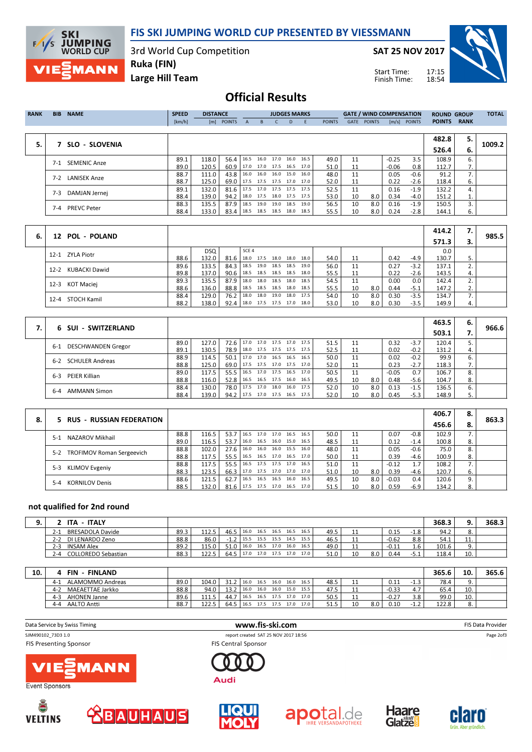

3rd World Cup Competition

SAT 25 NOV 2017

Start Time: Finish Time:



Large Hill Team Ruka (FIN)

**SKI<br>F/I/S JUMPING**<br>WORLD CUP

MANN

## Official Results

|       |                     |        |       | <b>DISTANCE</b> |                          |      | <b>JUDGES MARKS</b>      |    |                     |               |      | <b>GATE / WIND COMPENSATION</b> |         |                | <b>ROUND GROUP</b> |             | <b>TOTAL</b> |
|-------|---------------------|--------|-------|-----------------|--------------------------|------|--------------------------|----|---------------------|---------------|------|---------------------------------|---------|----------------|--------------------|-------------|--------------|
|       |                     | [km/h] |       | [m] POINTS      | $\mathsf{A}$             | B.   |                          | D. | -F                  | <b>POINTS</b> | GATE | <b>POINTS</b>                   |         | $[m/s]$ POINTS | <b>POINTS</b>      | <b>RANK</b> |              |
|       |                     |        |       |                 |                          |      |                          |    |                     |               |      |                                 |         |                |                    |             |              |
|       |                     |        |       |                 |                          |      |                          |    |                     |               |      |                                 |         |                | 482.8              | 5.          |              |
| 5.    | SLO - SLOVENIA      |        |       |                 |                          |      |                          |    |                     |               |      |                                 |         |                | 526.4              | 6.          | 1009.2       |
| $7-1$ | <b>SEMENIC Anze</b> | 89.1   | 118.0 | 56.4            | 16.5                     |      |                          |    | 16.0 17.0 16.0 16.5 | 49.0          | 11   |                                 | $-0.25$ | 3.5            | 108.9              | 6.          |              |
|       |                     | 89.0   | 120.5 | 60.9            |                          |      | 17.0 17.0 17.5 16.5 17.0 |    |                     | 51.0          | 11   |                                 | $-0.06$ | 0.8            | 112.7              | 7.          |              |
| $7-2$ | <b>LANISEK Anze</b> | 88.7   | 111.0 | 43.8            | 16.0                     |      | 16.0 16.0 15.0           |    | 16.0                | 48.0          | 11   |                                 | 0.05    | -0.6           | 91.2               | 7.          |              |
|       |                     | 88.7   | 125.0 | 69.0            | 17.5 17.5 17.5 17.0 17.0 |      |                          |    |                     | 52.0          | 11   |                                 | 0.22    | $-2.6$         | 118.4              | 6.          |              |
| $7-3$ |                     | 89.1   | 132.0 | 81.6            |                          |      | 17.5 17.0 17.5 17.5 17.5 |    |                     | 52.5          | 11   |                                 | 0.16    | $-1.9$         | 132.2              | 4.          |              |
|       | DAMJAN Jernei       | 88.4   | 139.0 | 94.2            | 18.0 17.5 18.0 17.5 17.5 |      |                          |    |                     | 53.0          | 10   | 8.0                             | 0.34    | -4.0           | 151.2              | 1.          |              |
| 7-4   | <b>PREVC Peter</b>  | 88.3   | 135.5 | 87.9            | 18.5                     | 19.0 | 19.0 18.5                |    | 19.0                | 56.5          | 10   | 8.0                             | 0.16    | $-1.9$         | 150.5              | 3.          |              |
|       |                     | 88.4   | 133.0 | 83.4            | 18.5 18.5 18.5 18.0 18.5 |      |                          |    |                     | 55.5          | 10   | 8.0                             | 0.24    | $-2.8$         | 144.1              | 6.          |              |

| 6. | 12 POL - POLAND           |      |            |      |                          |      |                |           |      |      |    |     |      |        | 414.2 | 7. | 985.5 |
|----|---------------------------|------|------------|------|--------------------------|------|----------------|-----------|------|------|----|-----|------|--------|-------|----|-------|
|    |                           |      |            |      |                          |      |                |           |      |      |    |     |      |        | 571.3 | 3. |       |
|    | 12-1 ZYLA Piotr           |      | <b>DSQ</b> |      | SCE 4                    |      |                |           |      |      |    |     |      |        | 0.0   |    |       |
|    |                           | 88.6 | 132.0      | 81.6 | 18.0                     | 17.5 | 18.0           | 18.0      | 18.0 | 54.0 | 11 |     | 0.42 | $-4.9$ | 130.7 |    |       |
|    | KUBACKI Dawid<br>$12 - 2$ | 89.6 | 133.5      | 84.3 | 18.5 19.0                |      | 18.5 18.5      |           | 19.0 | 56.0 |    |     | 0.27 | $-3.2$ | 137.1 |    |       |
|    |                           | 89.8 | 137.0      | 90.6 | 18.5 18.5                |      | 18.5 18.5      |           | 18.0 | 55.5 |    |     | 0.22 | $-2.6$ | 143.5 | 4. |       |
|    | KOT Maciej<br>$12 - 3$    | 89.3 | 135.5      | 87.9 | 18.0                     | 18.0 | 18.5           | 18.0 18.5 |      | 54.5 |    |     | 0.00 | 0.0    | 142.4 |    |       |
|    |                           | 88.6 | 136.0      | 88.8 | $18.5$ 18.5              |      | 18.5 18.0 18.5 |           |      | 55.5 | 10 | 8.0 | 0.44 | $-5.1$ | 147.2 | ۷. |       |
|    | 12-4 STOCH Kamil          | 88.4 | 129.0      | 76.2 | 18.0                     | 18.0 | 19.0           | 18.0 17.5 |      | 54.0 | 10 | 8.0 | 0.30 | $-3.5$ | 134.7 |    |       |
|    |                           | 88.2 | 138.0      | 92.4 | 18.0 17.5 17.5 17.0 18.0 |      |                |           |      | 53.0 | 10 | 8.0 | 0.30 | $-3.5$ | 149.9 | 4. |       |

| 6 SUI - SWITZERLAND                |      |       |             |                                 |      |                |      |      |    |     |         |        | 463.5 | 6. | 966.6 |
|------------------------------------|------|-------|-------------|---------------------------------|------|----------------|------|------|----|-----|---------|--------|-------|----|-------|
|                                    |      |       |             |                                 |      |                |      |      |    |     |         |        | 503.1 |    |       |
| <b>DESCHWANDEN Gregor</b><br>$6-1$ | 89.0 | 127.0 | $72.6$ 17.0 |                                 |      | 17.0 17.5 17.0 | 17.5 | 51.5 | 11 |     | 0.32    | $-3.7$ | 120.4 |    |       |
|                                    | 89.1 | 130.5 |             | 78.9   18.0 17.5 17.5 17.5 17.5 |      |                |      | 52.5 | 11 |     | 0.02    | $-0.2$ | 131.2 | 4. |       |
| <b>SCHULER Andreas</b><br>6-2      | 88.9 | 114.5 | 50.1        | 17.0                            | 17.0 | 16.5 16.5      | 16.5 | 50.0 | 11 |     | 0.02    | $-0.2$ | 99.9  | 6. |       |
|                                    | 88.8 | 125.0 |             | 69.0 17.5 17.5 17.0 17.5 17.0   |      |                |      | 52.0 | 11 |     | 0.23    | $-2.7$ | 118.3 | 7. |       |
| PEIER Killian<br>$6 - 3$           | 89.0 | 117.5 |             | 55.5   16.5 17.0 17.5 16.5      |      |                | 17.0 | 50.5 | 11 |     | $-0.05$ | 0.7    | 106.7 | 8. |       |
|                                    | 88.8 | 116.0 |             | 52.8   16.5 16.5 17.5 16.0      |      |                | 16.5 | 49.5 | 10 | 8.0 | 0.48    | $-5.6$ | 104.7 | 8. |       |
| <b>AMMANN Simon</b><br>$6 - 4$     | 88.4 | 130.0 | 78.0   17.5 |                                 | 17.0 | 18.0 16.0      | 17.5 | 52.0 | 10 | 8.0 | 0.13    | $-1.5$ | 136.5 | 6. |       |
|                                    | 88.4 | 139.0 | $94.2$ 17.5 |                                 |      | 17.0 17.5 16.5 | 17.5 | 52.0 | 10 | 8.0 | 0.45    | $-5.3$ | 148.9 | 5. |       |

|    |                                  |      |       |                   |      |      |           |                     |      |      |    |     |         |        | 406.7 | 8. |       |
|----|----------------------------------|------|-------|-------------------|------|------|-----------|---------------------|------|------|----|-----|---------|--------|-------|----|-------|
| 8. | 5 RUS - RUSSIAN FEDERATION       |      |       |                   |      |      |           |                     |      |      |    |     |         |        | 456.6 | 8. | 863.3 |
|    | NAZAROV Mikhail<br>$5-1$         | 88.8 | 116.5 | 53.7 <sup>1</sup> | 16.5 | 17.0 |           | 17.0 16.5           | 16.5 | 50.0 | 11 |     | 0.07    | $-0.8$ | 102.9 |    |       |
|    |                                  | 89.0 | 116.5 | 53.7              | 16.0 |      |           | 16.5 16.0 15.0      | 16.5 | 48.5 | 11 |     | 0.12    | $-1.4$ | 100.8 | 8. |       |
|    | 5-2 TROFIMOV Roman Sergeevich    | 88.8 | 102.0 | 27.6              | 16.0 | 16.0 | 16.0 15.5 |                     | 16.0 | 48.0 | 11 |     | 0.05    | $-0.6$ | 75.0  | 8. |       |
|    |                                  | 88.8 | 117.5 | 55.5              | 16.5 |      |           | 16.5 17.0 16.5      | 17.0 | 50.0 | 11 |     | 0.39    | $-4.6$ | 100.9 | 8. |       |
|    |                                  | 88.8 | 117.5 | 55.5              | 16.5 | 17.5 |           | 17.5 17.0           | 16.5 | 51.0 | 11 |     | $-0.12$ |        | 108.2 |    |       |
|    | <b>KLIMOV Evgeniy</b><br>$5-3$   | 88.3 | 123.5 | 66.3 l            | 17.0 |      |           | 17.5 17.0 17.0      | 17.0 | 51.0 | 10 | 8.0 | 0.39    | $-4.6$ | 120.7 | 6. |       |
|    | <b>KORNILOV Denis</b><br>$5 - 4$ | 88.6 | 121.5 | 62.7              | 16.5 | 16.5 |           | 16.5 16.0           | 16.5 | 49.5 | 10 | 8.0 | $-0.03$ | 0.4    | 120.6 | 9. |       |
|    |                                  | 88.5 | 132.0 | 81.6              | 17.5 |      |           | 17.5 17.0 16.5 17.0 |      | 51.5 | 10 | 8.0 | 0.59    | $-6.9$ | 134.2 |    |       |

### not qualified for 2nd round

| . - ITALY<br>ITA.              |      |       |      |      |      |      |           |                     |      |            |     |         |      | 368.3 |         | 368.3 |
|--------------------------------|------|-------|------|------|------|------|-----------|---------------------|------|------------|-----|---------|------|-------|---------|-------|
| BRESADOLA Davide<br>2-1        | 89.3 | 112.5 | 46.5 | 16.0 |      |      |           | 16.5 16.5 16.5 16.5 | 49.5 | <b>. .</b> |     | 0.15    | -1.8 | 94.2  |         |       |
| DI LENARDO Zeno<br>$2 - 2$     | 88.8 | 86.0  |      | 15.5 | 15.5 |      | 15.5 14.5 | 15.5                | 46.5 | <b>. .</b> |     | $-0.62$ | 8.8  | 54.1  | <b></b> |       |
| $2 - 3$<br><b>INSAM Alex</b>   | 89.2 | 115.0 | 510  | 16.0 | 16.5 | 17.0 | 16.0      | 16.5                | 49.0 | <b>. .</b> |     | $-0.11$ | 1.6  | 101.6 |         |       |
| COLLOREDO Sebastian<br>$2 - 4$ | 88.3 | 122.5 | 64.5 | 17.0 | 17.0 | 17.5 | 17.0      | 17.0                | 51.0 | 10         | 8.0 | 0.44    | -5.1 | 118.4 | 10.     |       |

| 10. | <b>FIN</b><br><b>FINLAND</b>   |      |              |      |      |      |                |      |      |      |            |     |         |       | 365.6 | 10  | 365.6 |
|-----|--------------------------------|------|--------------|------|------|------|----------------|------|------|------|------------|-----|---------|-------|-------|-----|-------|
|     | ALAMOMMO Andreas<br>$4-1$      | 89.0 | 104.0        | 31.2 | 16.0 |      | 16.5 16.0      | 16.0 | 16.5 | 48.5 | <b>. .</b> |     | 0.11    | د.1-  | 78.4  |     |       |
|     | MAEAETTAE Jarkko<br>$4-2$      | 88.8 | 94.0         | 13.2 | 16.0 | 16.0 | 16.0           | 15.0 | 15.5 | 47.5 | + +        |     | $-0.33$ | 4.7   | 65.4  | 10. |       |
|     | <b>AHONEN Janne</b><br>$4 - 3$ | 89.6 | 111<br>111.5 | 44.  | 16.5 |      | 16.5 17.5 17.0 |      | 17.0 | 50.5 | + +        |     | $-0.27$ | 3.8   | 99.0  | 10. |       |
|     | <b>AALTO Antti</b><br>$4 - 4$  | 88.7 | 122.5        | 64.5 | 16.5 |      | 17.5 17.5      | 17.0 | 17.0 | 51.5 | 10         | 8.0 | 0.10    | ے . ۔ | 122.8 |     |       |

| Data Service by Swiss Timing                        | www.fis-ski.com                                                    | FIS Data Provider |
|-----------------------------------------------------|--------------------------------------------------------------------|-------------------|
| SJM490102 73D3 1.0<br><b>FIS Presenting Sponsor</b> | report created SAT 25 NOV 2017 18:56<br><b>FIS Central Sponsor</b> | Page 2of3         |
| <b>VIE MANN</b><br>$\sim$ $\sim$                    | Audi                                                               |                   |





 $\overline{\phantom{a}}$